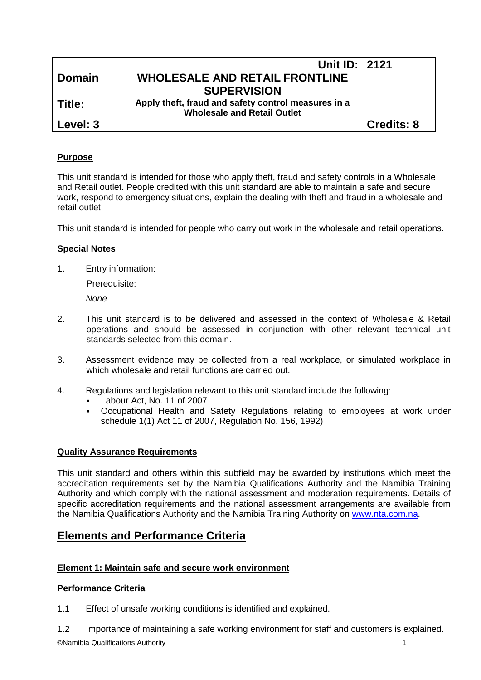|  | Domain |  |  |
|--|--------|--|--|
|  |        |  |  |

# **Unit ID: 2121 Domain WHOLESALE AND RETAIL FRONTLINE SUPERVISION**

**Title: Apply theft, fraud and safety control measures in a Wholesale and Retail Outlet**

**Level: 3 Credits: 8**

### **Purpose**

This unit standard is intended for those who apply theft, fraud and safety controls in a Wholesale and Retail outlet. People credited with this unit standard are able to maintain a safe and secure work, respond to emergency situations, explain the dealing with theft and fraud in a wholesale and retail outlet

This unit standard is intended for people who carry out work in the wholesale and retail operations.

### **Special Notes**

1. Entry information:

Prerequisite:

*None*

- 2. This unit standard is to be delivered and assessed in the context of Wholesale & Retail operations and should be assessed in conjunction with other relevant technical unit standards selected from this domain.
- 3. Assessment evidence may be collected from a real workplace, or simulated workplace in which wholesale and retail functions are carried out.
- 4. Regulations and legislation relevant to this unit standard include the following:
	- Labour Act, No. 11 of 2007
	- Occupational Health and Safety Regulations relating to employees at work under schedule 1(1) Act 11 of 2007, Regulation No. 156, 1992)

#### **Quality Assurance Requirements**

This unit standard and others within this subfield may be awarded by institutions which meet the accreditation requirements set by the Namibia Qualifications Authority and the Namibia Training Authority and which comply with the national assessment and moderation requirements. Details of specific accreditation requirements and the national assessment arrangements are available from the Namibia Qualifications Authority and the Namibia Training Authority on [www.nta.com.na.](http://www.nta.com.na/)

# **Elements and Performance Criteria**

#### **Element 1: Maintain safe and secure work environment**

#### **Performance Criteria**

- 1.1 Effect of unsafe working conditions is identified and explained.
- 1.2 Importance of maintaining a safe working environment for staff and customers is explained.